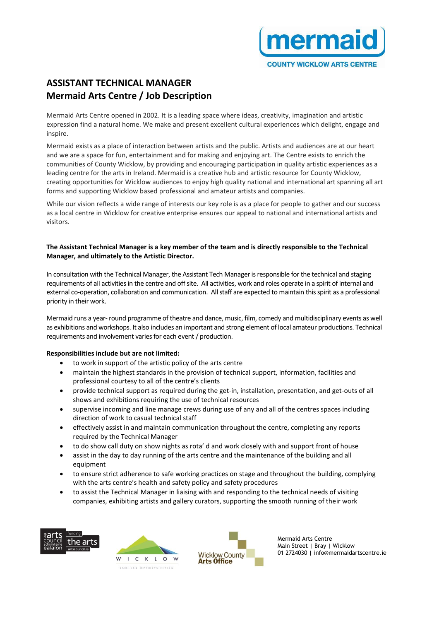

# **ASSISTANT TECHNICAL MANAGER Mermaid Arts Centre / Job Description**

Mermaid Arts Centre opened in 2002. It is a leading space where ideas, creativity, imagination and artistic expression find a natural home. We make and present excellent cultural experiences which delight, engage and inspire.

Mermaid exists as a place of interaction between artists and the public. Artists and audiences are at our heart and we are a space for fun, entertainment and for making and enjoying art. The Centre exists to enrich the communities of County Wicklow, by providing and encouraging participation in quality artistic experiences as a leading centre for the arts in Ireland. Mermaid is a creative hub and artistic resource for County Wicklow, creating opportunities for Wicklow audiences to enjoy high quality national and international art spanning all art forms and supporting Wicklow based professional and amateur artists and companies.

While our vision reflects a wide range of interests our key role is as a place for people to gather and our success as a local centre in Wicklow for creative enterprise ensures our appeal to national and international artists and visitors.

## **The Assistant Technical Manager is a key member of the team and is directly responsible to the Technical Manager, and ultimately to the Artistic Director.**

In consultation with the Technical Manager, the Assistant Tech Manager is responsible for the technical and staging requirements of all activities in the centre and off site. All activities, work and roles operate in a spirit of internal and external co-operation, collaboration and communication. All staff are expected to maintain this spirit as a professional priority in their work.

Mermaid runs a year- round programme of theatre and dance, music, film, comedy and multidisciplinary events as well as exhibitions and workshops. It also includes an important and strong element of local amateur productions. Technical requirements and involvement varies for each event / production.

# **Responsibilities include but are not limited:**

- to work in support of the artistic policy of the arts centre
- maintain the highest standards in the provision of technical support, information, facilities and professional courtesy to all of the centre's clients
- provide technical support as required during the get-in, installation, presentation, and get-outs of all shows and exhibitions requiring the use of technical resources
- supervise incoming and line manage crews during use of any and all of the centres spaces including direction of work to casual technical staff
- effectively assist in and maintain communication throughout the centre, completing any reports required by the Technical Manager
- to do show call duty on show nights as rota' d and work closely with and support front of house
- assist in the day to day running of the arts centre and the maintenance of the building and all equipment
- to ensure strict adherence to safe working practices on stage and throughout the building, complying with the arts centre's health and safety policy and safety procedures
- to assist the Technical Manager in liaising with and responding to the technical needs of visiting companies, exhibiting artists and gallery curators, supporting the smooth running of their work







Mermaid Arts Centre Main Street | Bray | Wicklow 01 2724030 | info@mermaidartscentre.ie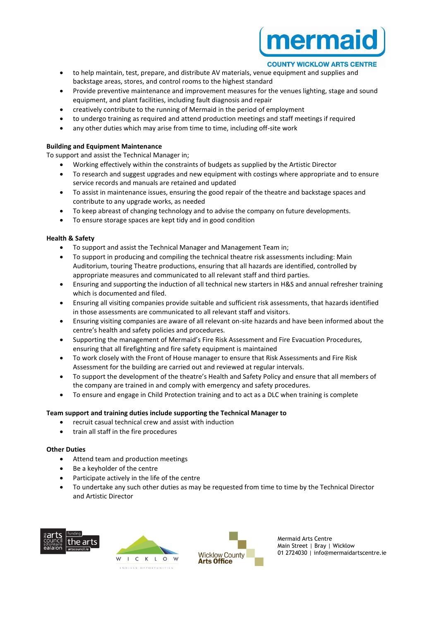

#### **COUNTY WICKLOW ARTS CENTRE**

- to help maintain, test, prepare, and distribute AV materials, venue equipment and supplies and backstage areas, stores, and control rooms to the highest standard
- Provide preventive maintenance and improvement measures for the venues lighting, stage and sound equipment, and plant facilities, including fault diagnosis and repair
- creatively contribute to the running of Mermaid in the period of employment
- to undergo training as required and attend production meetings and staff meetings if required
- any other duties which may arise from time to time, including off-site work

## **Building and Equipment Maintenance**

To support and assist the Technical Manager in;

- Working effectively within the constraints of budgets as supplied by the Artistic Director
- To research and suggest upgrades and new equipment with costings where appropriate and to ensure service records and manuals are retained and updated
- To assist in maintenance issues, ensuring the good repair of the theatre and backstage spaces and contribute to any upgrade works, as needed
- To keep abreast of changing technology and to advise the company on future developments.
- To ensure storage spaces are kept tidy and in good condition

## **Health & Safety**

- To support and assist the Technical Manager and Management Team in;
- To support in producing and compiling the technical theatre risk assessments including: Main Auditorium, touring Theatre productions, ensuring that all hazards are identified, controlled by appropriate measures and communicated to all relevant staff and third parties.
- Ensuring and supporting the induction of all technical new starters in H&S and annual refresher training which is documented and filed.
- Ensuring all visiting companies provide suitable and sufficient risk assessments, that hazards identified in those assessments are communicated to all relevant staff and visitors.
- Ensuring visiting companies are aware of all relevant on-site hazards and have been informed about the centre's health and safety policies and procedures.
- Supporting the management of Mermaid's Fire Risk Assessment and Fire Evacuation Procedures, ensuring that all firefighting and fire safety equipment is maintained
- To work closely with the Front of House manager to ensure that Risk Assessments and Fire Risk Assessment for the building are carried out and reviewed at regular intervals.
- To support the development of the theatre's Health and Safety Policy and ensure that all members of the company are trained in and comply with emergency and safety procedures.
- To ensure and engage in Child Protection training and to act as a DLC when training is complete

# **Team support and training duties include supporting the Technical Manager to**

- recruit casual technical crew and assist with induction
- train all staff in the fire procedures

#### **Other Duties**

- Attend team and production meetings
- Be a keyholder of the centre
- Participate actively in the life of the centre
- To undertake any such other duties as may be requested from time to time by the Technical Director and Artistic Director







Mermaid Arts Centre Main Street | Bray | Wicklow 01 2724030 | info@mermaidartscentre.ie